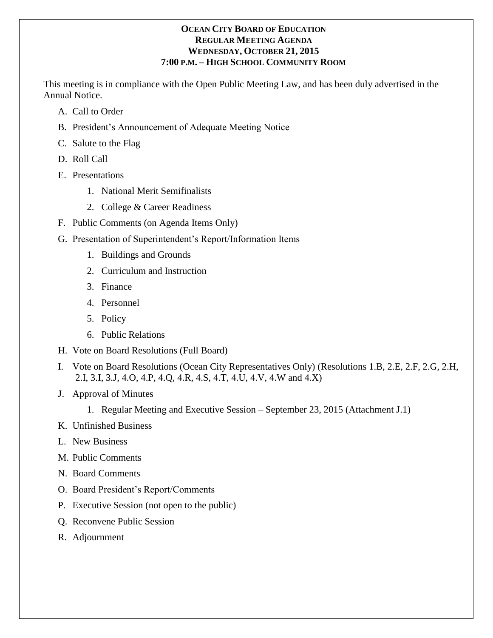### **OCEAN CITY BOARD OF EDUCATION REGULAR MEETING AGENDA WEDNESDAY, OCTOBER 21, 2015 7:00 P.M. – HIGH SCHOOL COMMUNITY ROOM**

This meeting is in compliance with the Open Public Meeting Law, and has been duly advertised in the Annual Notice.

- A. Call to Order
- B. President's Announcement of Adequate Meeting Notice
- C. Salute to the Flag
- D. Roll Call
- E. Presentations
	- 1. National Merit Semifinalists
	- 2. College & Career Readiness
- F. Public Comments (on Agenda Items Only)
- G. Presentation of Superintendent's Report/Information Items
	- 1. Buildings and Grounds
	- 2. Curriculum and Instruction
	- 3. Finance
	- 4. Personnel
	- 5. Policy
	- 6. Public Relations
- H. Vote on Board Resolutions (Full Board)
- I. Vote on Board Resolutions (Ocean City Representatives Only) (Resolutions 1.B, 2.E, 2.F, 2.G, 2.H, 2.I, 3.I, 3.J, 4.O, 4.P, 4.Q, 4.R, 4.S, 4.T, 4.U, 4.V, 4.W and 4.X)
- J. Approval of Minutes
	- 1. Regular Meeting and Executive Session September 23, 2015 (Attachment J.1)
- K. Unfinished Business
- L. New Business
- M. Public Comments
- N. Board Comments
- O. Board President's Report/Comments
- P. Executive Session (not open to the public)
- Q. Reconvene Public Session
- R. Adjournment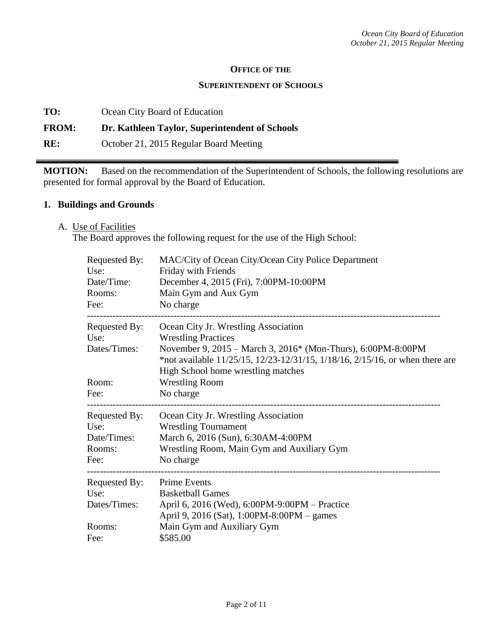#### **OFFICE OF THE**

#### **SUPERINTENDENT OF SCHOOLS**

**TO:** Ocean City Board of Education

#### **FROM: Dr. Kathleen Taylor, Superintendent of Schools**

**RE:** October 21, 2015 Regular Board Meeting

**MOTION:** Based on the recommendation of the Superintendent of Schools, the following resolutions are presented for formal approval by the Board of Education.

#### **1. Buildings and Grounds**

A. Use of Facilities

The Board approves the following request for the use of the High School:

| Requested By:<br>Use:<br>Date/Time:<br>Rooms:<br>Fee: | MAC/City of Ocean City/Ocean City Police Department<br>Friday with Friends<br>December 4, 2015 (Fri), 7:00PM-10:00PM<br>Main Gym and Aux Gym<br>No charge                                                                                                |
|-------------------------------------------------------|----------------------------------------------------------------------------------------------------------------------------------------------------------------------------------------------------------------------------------------------------------|
| Requested By:<br>Use:<br>Dates/Times:                 | Ocean City Jr. Wrestling Association<br><b>Wrestling Practices</b><br>November 9, 2015 – March 3, 2016* (Mon-Thurs), 6:00PM-8:00PM<br>*not available 11/25/15, 12/23-12/31/15, 1/18/16, 2/15/16, or when there are<br>High School home wrestling matches |
| Room:                                                 | <b>Wrestling Room</b>                                                                                                                                                                                                                                    |
| Fee:                                                  | No charge                                                                                                                                                                                                                                                |
| Requested By:                                         | Ocean City Jr. Wrestling Association                                                                                                                                                                                                                     |
| Use:                                                  | <b>Wrestling Tournament</b>                                                                                                                                                                                                                              |
| Date/Times:                                           | March 6, 2016 (Sun), 6:30AM-4:00PM                                                                                                                                                                                                                       |
| Rooms:<br>Fee:                                        | Wrestling Room, Main Gym and Auxiliary Gym<br>No charge                                                                                                                                                                                                  |
| Requested By:                                         | <b>Prime Events</b>                                                                                                                                                                                                                                      |
| Use:                                                  | <b>Basketball Games</b>                                                                                                                                                                                                                                  |
| Dates/Times:                                          | April 6, 2016 (Wed), 6:00PM-9:00PM – Practice<br>April 9, 2016 (Sat), 1:00PM-8:00PM - games                                                                                                                                                              |
| Rooms:                                                | Main Gym and Auxiliary Gym                                                                                                                                                                                                                               |
| Fee:                                                  | \$585.00                                                                                                                                                                                                                                                 |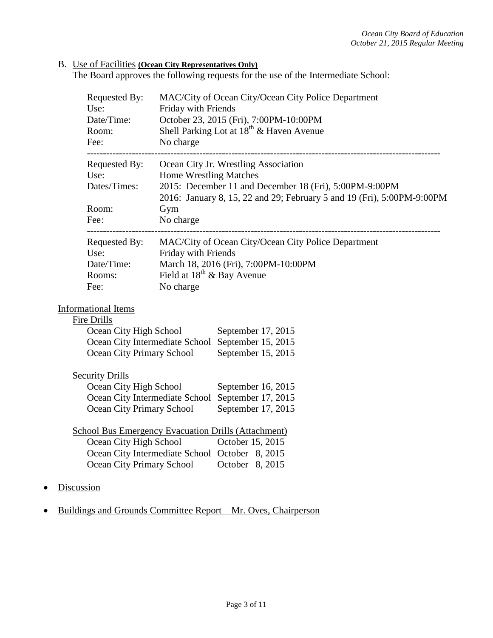### B. Use of Facilities **(Ocean City Representatives Only)**

The Board approves the following requests for the use of the Intermediate School:

|            | Requested By:<br>Use:<br>Date/Time:<br>Room:<br>Fee:                                              | MAC/City of Ocean City/Ocean City Police Department<br>Friday with Friends<br>October 23, 2015 (Fri), 7:00PM-10:00PM<br>Shell Parking Lot at 18 <sup>th</sup> & Haven Avenue<br>No charge                 |  |  |
|------------|---------------------------------------------------------------------------------------------------|-----------------------------------------------------------------------------------------------------------------------------------------------------------------------------------------------------------|--|--|
|            | Requested By:<br>Use:<br>Dates/Times:                                                             | Ocean City Jr. Wrestling Association<br><b>Home Wrestling Matches</b><br>2015: December 11 and December 18 (Fri), 5:00PM-9:00PM<br>2016: January 8, 15, 22 and 29; February 5 and 19 (Fri), 5:00PM-9:00PM |  |  |
|            | Room:<br>Fee:                                                                                     | Gym<br>No charge                                                                                                                                                                                          |  |  |
|            | Requested By:<br>Use:                                                                             | MAC/City of Ocean City/Ocean City Police Department<br>Friday with Friends                                                                                                                                |  |  |
|            | Date/Time:                                                                                        | March 18, 2016 (Fri), 7:00PM-10:00PM                                                                                                                                                                      |  |  |
|            | Rooms:<br>Fee:                                                                                    | Field at $18^{th}$ & Bay Avenue<br>No charge                                                                                                                                                              |  |  |
|            |                                                                                                   |                                                                                                                                                                                                           |  |  |
|            | <b>Informational Items</b>                                                                        |                                                                                                                                                                                                           |  |  |
|            | <b>Fire Drills</b>                                                                                |                                                                                                                                                                                                           |  |  |
|            | Ocean City High School<br>September 17, 2015<br>Ocean City Intermediate School September 15, 2015 |                                                                                                                                                                                                           |  |  |
|            | <b>Ocean City Primary School</b>                                                                  | September 15, 2015                                                                                                                                                                                        |  |  |
|            |                                                                                                   |                                                                                                                                                                                                           |  |  |
|            | <b>Security Drills</b>                                                                            |                                                                                                                                                                                                           |  |  |
|            | Ocean City High School<br>September 16, 2015                                                      |                                                                                                                                                                                                           |  |  |
|            | Ocean City Intermediate School                                                                    | September 17, 2015                                                                                                                                                                                        |  |  |
|            | Ocean City Primary School                                                                         | September 17, 2015                                                                                                                                                                                        |  |  |
|            | School Bus Emergency Evacuation Drills (Attachment)                                               |                                                                                                                                                                                                           |  |  |
|            | Ocean City High School                                                                            | October 15, 2015                                                                                                                                                                                          |  |  |
|            |                                                                                                   | Ocean City Intermediate School October 8, 2015                                                                                                                                                            |  |  |
|            | <b>Ocean City Primary School</b>                                                                  | October 8, 2015                                                                                                                                                                                           |  |  |
| Discussion |                                                                                                   |                                                                                                                                                                                                           |  |  |

• Buildings and Grounds Committee Report – Mr. Oves, Chairperson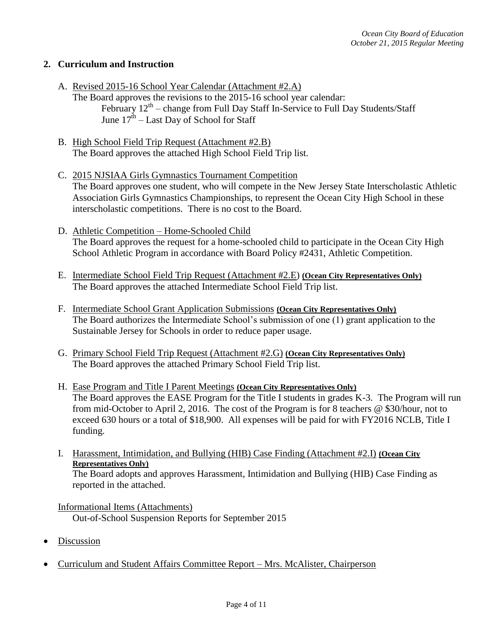## **2. Curriculum and Instruction**

- A. Revised 2015-16 School Year Calendar (Attachment #2.A)
	- The Board approves the revisions to the 2015-16 school year calendar: February  $12^{th}$  – change from Full Day Staff In-Service to Full Day Students/Staff June  $17^{\text{th}}$  – Last Day of School for Staff
- B. High School Field Trip Request (Attachment #2.B) The Board approves the attached High School Field Trip list.
- C. 2015 NJSIAA Girls Gymnastics Tournament Competition The Board approves one student, who will compete in the New Jersey State Interscholastic Athletic Association Girls Gymnastics Championships, to represent the Ocean City High School in these interscholastic competitions. There is no cost to the Board.
- D. Athletic Competition Home-Schooled Child The Board approves the request for a home-schooled child to participate in the Ocean City High School Athletic Program in accordance with Board Policy #2431, Athletic Competition.
- E. Intermediate School Field Trip Request (Attachment #2.E) **(Ocean City Representatives Only)** The Board approves the attached Intermediate School Field Trip list.
- F. Intermediate School Grant Application Submissions **(Ocean City Representatives Only)** The Board authorizes the Intermediate School's submission of one (1) grant application to the Sustainable Jersey for Schools in order to reduce paper usage.
- G. Primary School Field Trip Request (Attachment #2.G) **(Ocean City Representatives Only)** The Board approves the attached Primary School Field Trip list.
- H. Ease Program and Title I Parent Meetings **(Ocean City Representatives Only)** The Board approves the EASE Program for the Title I students in grades K-3. The Program will run from mid-October to April 2, 2016. The cost of the Program is for 8 teachers @ \$30/hour, not to exceed 630 hours or a total of \$18,900. All expenses will be paid for with FY2016 NCLB, Title I funding.
- I. Harassment, Intimidation, and Bullying (HIB) Case Finding (Attachment #2.I) **(Ocean City Representatives Only)** The Board adopts and approves Harassment, Intimidation and Bullying (HIB) Case Finding as reported in the attached.

Informational Items (Attachments) Out-of-School Suspension Reports for September 2015

- Discussion
- Curriculum and Student Affairs Committee Report Mrs. McAlister, Chairperson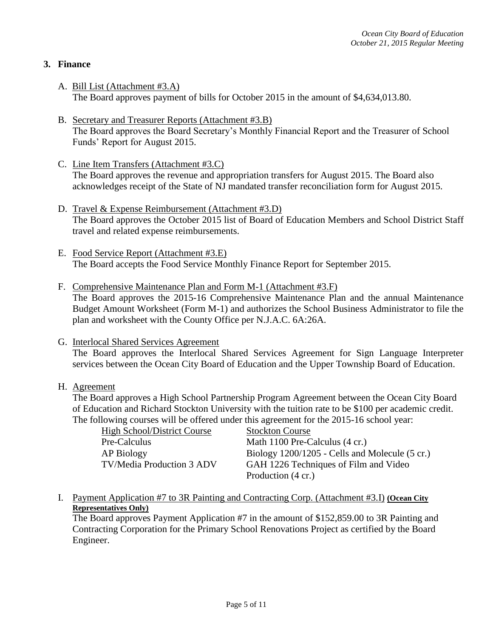## **3. Finance**

- A. Bill List (Attachment #3.A) The Board approves payment of bills for October 2015 in the amount of \$4,634,013.80.
- B. Secretary and Treasurer Reports (Attachment #3.B) The Board approves the Board Secretary's Monthly Financial Report and the Treasurer of School Funds' Report for August 2015.
- C. Line Item Transfers (Attachment #3.C) The Board approves the revenue and appropriation transfers for August 2015. The Board also acknowledges receipt of the State of NJ mandated transfer reconciliation form for August 2015.
- D. Travel & Expense Reimbursement (Attachment #3.D) The Board approves the October 2015 list of Board of Education Members and School District Staff travel and related expense reimbursements.
- E. Food Service Report (Attachment #3.E) The Board accepts the Food Service Monthly Finance Report for September 2015.
- F. Comprehensive Maintenance Plan and Form M-1 (Attachment #3.F) The Board approves the 2015-16 Comprehensive Maintenance Plan and the annual Maintenance Budget Amount Worksheet (Form M-1) and authorizes the School Business Administrator to file the plan and worksheet with the County Office per N.J.A.C. 6A:26A.
- G. Interlocal Shared Services Agreement

The Board approves the Interlocal Shared Services Agreement for Sign Language Interpreter services between the Ocean City Board of Education and the Upper Township Board of Education.

H. Agreement

The Board approves a High School Partnership Program Agreement between the Ocean City Board of Education and Richard Stockton University with the tuition rate to be \$100 per academic credit. The following courses will be offered under this agreement for the 2015-16 school year:

|                                    | $\mu$ and $\mu$ and $\mu$ and $\mu$ and $\mu$ and $\mu$ are $\mu$ and $\mu$ and $\mu$ and $\mu$ and $\mu$ and $\mu$ |
|------------------------------------|---------------------------------------------------------------------------------------------------------------------|
| <b>High School/District Course</b> | <b>Stockton Course</b>                                                                                              |
| Pre-Calculus                       | Math 1100 Pre-Calculus (4 cr.)                                                                                      |
| AP Biology                         | Biology 1200/1205 - Cells and Molecule (5 cr.)                                                                      |
| TV/Media Production 3 ADV          | GAH 1226 Techniques of Film and Video                                                                               |
|                                    | Production (4 cr.)                                                                                                  |

I. Payment Application #7 to 3R Painting and Contracting Corp. (Attachment #3.I) **(Ocean City Representatives Only)** 

The Board approves Payment Application #7 in the amount of \$152,859.00 to 3R Painting and Contracting Corporation for the Primary School Renovations Project as certified by the Board Engineer.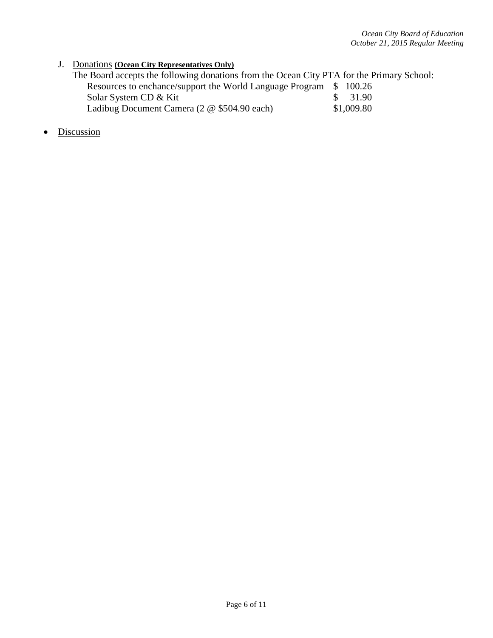# J. Donations **(Ocean City Representatives Only)**

| The Board accepts the following donations from the Ocean City PTA for the Primary School: |            |
|-------------------------------------------------------------------------------------------|------------|
| Resources to enchance/support the World Language Program \$ 100.26                        |            |
| Solar System CD & Kit                                                                     | \$ 31.90   |
| Ladibug Document Camera (2 @ \$504.90 each)                                               | \$1,009.80 |

• Discussion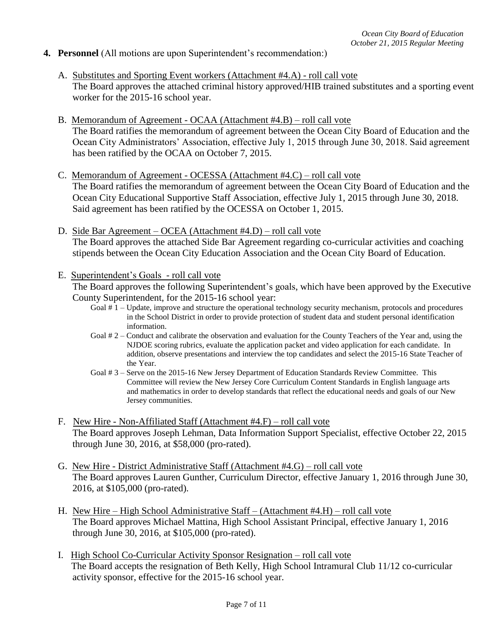#### **4. Personnel** (All motions are upon Superintendent's recommendation:)

- A. Substitutes and Sporting Event workers (Attachment #4.A) roll call vote The Board approves the attached criminal history approved/HIB trained substitutes and a sporting event worker for the 2015-16 school year.
- B. Memorandum of Agreement OCAA (Attachment #4.B) roll call vote The Board ratifies the memorandum of agreement between the Ocean City Board of Education and the Ocean City Administrators' Association, effective July 1, 2015 through June 30, 2018. Said agreement has been ratified by the OCAA on October 7, 2015.
- C. Memorandum of Agreement OCESSA (Attachment #4.C) roll call vote The Board ratifies the memorandum of agreement between the Ocean City Board of Education and the Ocean City Educational Supportive Staff Association, effective July 1, 2015 through June 30, 2018. Said agreement has been ratified by the OCESSA on October 1, 2015.
- D. Side Bar Agreement OCEA (Attachment #4.D) roll call vote The Board approves the attached Side Bar Agreement regarding co-curricular activities and coaching stipends between the Ocean City Education Association and the Ocean City Board of Education.
- E. Superintendent's Goals roll call vote

The Board approves the following Superintendent's goals, which have been approved by the Executive County Superintendent, for the 2015-16 school year:

- Goal # 1 Update, improve and structure the operational technology security mechanism, protocols and procedures in the School District in order to provide protection of student data and student personal identification information.
- Goal # 2 Conduct and calibrate the observation and evaluation for the County Teachers of the Year and, using the NJDOE scoring rubrics, evaluate the application packet and video application for each candidate. In addition, observe presentations and interview the top candidates and select the 2015-16 State Teacher of the Year.
- Goal # 3 Serve on the 2015-16 New Jersey Department of Education Standards Review Committee. This Committee will review the New Jersey Core Curriculum Content Standards in English language arts and mathematics in order to develop standards that reflect the educational needs and goals of our New Jersey communities.
- F. New Hire Non-Affiliated Staff (Attachment #4.F) roll call vote The Board approves Joseph Lehman, Data Information Support Specialist, effective October 22, 2015 through June 30, 2016, at \$58,000 (pro-rated).
- G. New Hire District Administrative Staff (Attachment #4.G) roll call vote The Board approves Lauren Gunther, Curriculum Director, effective January 1, 2016 through June 30, 2016, at \$105,000 (pro-rated).
- H. New Hire High School Administrative Staff (Attachment #4.H) roll call vote The Board approves Michael Mattina, High School Assistant Principal, effective January 1, 2016 through June 30, 2016, at \$105,000 (pro-rated).
- I. High School Co-Curricular Activity Sponsor Resignation roll call vote The Board accepts the resignation of Beth Kelly, High School Intramural Club 11/12 co-curricular activity sponsor, effective for the 2015-16 school year.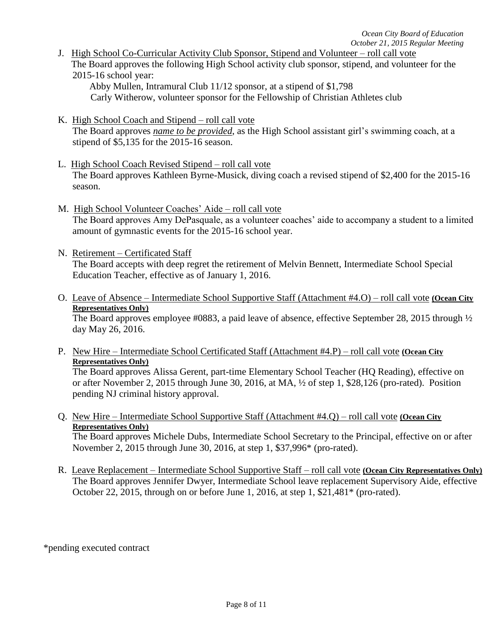J. High School Co-Curricular Activity Club Sponsor, Stipend and Volunteer – roll call vote The Board approves the following High School activity club sponsor, stipend, and volunteer for the 2015-16 school year:

Abby Mullen, Intramural Club 11/12 sponsor, at a stipend of \$1,798

Carly Witherow, volunteer sponsor for the Fellowship of Christian Athletes club

- K. High School Coach and Stipend roll call vote The Board approves *name to be provided*, as the High School assistant girl's swimming coach, at a stipend of \$5,135 for the 2015-16 season.
- L. High School Coach Revised Stipend roll call vote The Board approves Kathleen Byrne-Musick, diving coach a revised stipend of \$2,400 for the 2015-16 season.
- M. High School Volunteer Coaches' Aide roll call vote The Board approves Amy DePasquale, as a volunteer coaches' aide to accompany a student to a limited amount of gymnastic events for the 2015-16 school year.
- N. Retirement Certificated Staff The Board accepts with deep regret the retirement of Melvin Bennett, Intermediate School Special Education Teacher, effective as of January 1, 2016.
- O. Leave of Absence Intermediate School Supportive Staff (Attachment #4.O) roll call vote **(Ocean City Representatives Only)**

The Board approves employee #0883, a paid leave of absence, effective September 28, 2015 through  $\frac{1}{2}$ day May 26, 2016.

P. New Hire – Intermediate School Certificated Staff (Attachment #4.P) – roll call vote **(Ocean City Representatives Only)**

The Board approves Alissa Gerent, part-time Elementary School Teacher (HQ Reading), effective on or after November 2, 2015 through June 30, 2016, at MA, ½ of step 1, \$28,126 (pro-rated). Position pending NJ criminal history approval.

Q. New Hire – Intermediate School Supportive Staff (Attachment #4.Q) – roll call vote **(Ocean City Representatives Only)**

The Board approves Michele Dubs, Intermediate School Secretary to the Principal, effective on or after November 2, 2015 through June 30, 2016, at step 1, \$37,996\* (pro-rated).

R. Leave Replacement – Intermediate School Supportive Staff – roll call vote **(Ocean City Representatives Only)** The Board approves Jennifer Dwyer, Intermediate School leave replacement Supervisory Aide, effective October 22, 2015, through on or before June 1, 2016, at step 1, \$21,481\* (pro-rated).

\*pending executed contract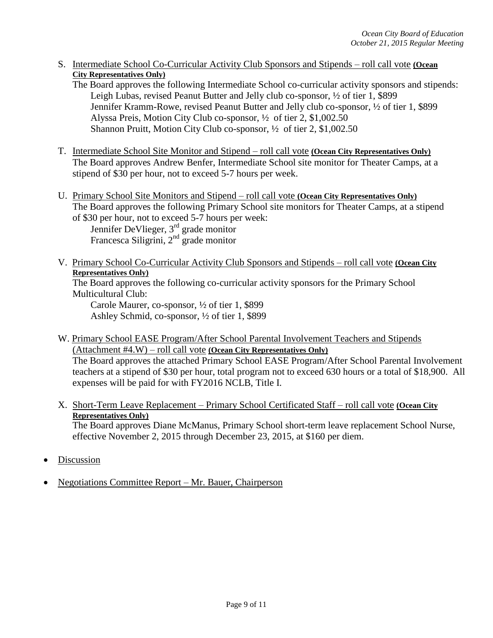- S. Intermediate School Co-Curricular Activity Club Sponsors and Stipends roll call vote **(Ocean City Representatives Only)**
	- The Board approves the following Intermediate School co-curricular activity sponsors and stipends: Leigh Lubas, revised Peanut Butter and Jelly club co-sponsor, ½ of tier 1, \$899 Jennifer Kramm-Rowe, revised Peanut Butter and Jelly club co-sponsor, ½ of tier 1, \$899 Alyssa Preis, Motion City Club co-sponsor, ½ of tier 2, \$1,002.50 Shannon Pruitt, Motion City Club co-sponsor, ½ of tier 2, \$1,002.50
- T. Intermediate School Site Monitor and Stipend roll call vote **(Ocean City Representatives Only)** The Board approves Andrew Benfer, Intermediate School site monitor for Theater Camps, at a stipend of \$30 per hour, not to exceed 5-7 hours per week.
- U. Primary School Site Monitors and Stipend roll call vote **(Ocean City Representatives Only)** The Board approves the following Primary School site monitors for Theater Camps, at a stipend of \$30 per hour, not to exceed 5-7 hours per week:

Jennifer DeVlieger, 3<sup>rd</sup> grade monitor Francesca Siligrini,  $2<sup>nd</sup>$  grade monitor

V. Primary School Co-Curricular Activity Club Sponsors and Stipends – roll call vote **(Ocean City Representatives Only)**

The Board approves the following co-curricular activity sponsors for the Primary School Multicultural Club:

Carole Maurer, co-sponsor, ½ of tier 1, \$899 Ashley Schmid, co-sponsor, ½ of tier 1, \$899

W. Primary School EASE Program/After School Parental Involvement Teachers and Stipends (Attachment #4.W) – roll call vote **(Ocean City Representatives Only)**

The Board approves the attached Primary School EASE Program/After School Parental Involvement teachers at a stipend of \$30 per hour, total program not to exceed 630 hours or a total of \$18,900. All expenses will be paid for with FY2016 NCLB, Title I.

X. Short-Term Leave Replacement – Primary School Certificated Staff – roll call vote **(Ocean City Representatives Only)**

The Board approves Diane McManus, Primary School short-term leave replacement School Nurse, effective November 2, 2015 through December 23, 2015, at \$160 per diem.

- **Discussion**
- Negotiations Committee Report Mr. Bauer, Chairperson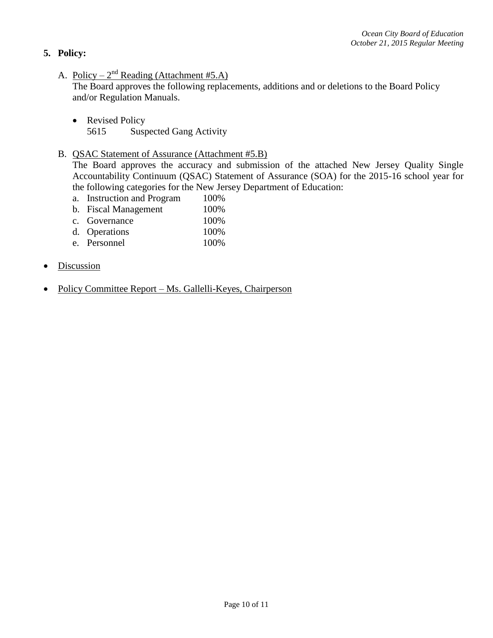## **5. Policy:**

A. Policy –  $2^{nd}$  Reading (Attachment #5.A)

The Board approves the following replacements, additions and or deletions to the Board Policy and/or Regulation Manuals.

- Revised Policy 5615 Suspected Gang Activity
- B. QSAC Statement of Assurance (Attachment #5.B)

The Board approves the accuracy and submission of the attached New Jersey Quality Single Accountability Continuum (QSAC) Statement of Assurance (SOA) for the 2015-16 school year for the following categories for the New Jersey Department of Education:

- a. Instruction and Program 100%
- b. Fiscal Management 100%
- c. Governance 100%
- d. Operations 100%
- e. Personnel 100%
- Discussion
- Policy Committee Report Ms. Gallelli-Keyes, Chairperson